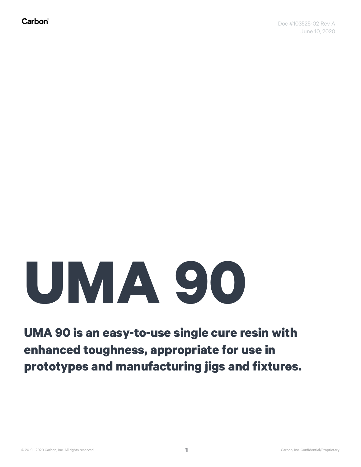## **UMA 90**

## **UMA 90 is an easy-to-use single cure resin with enhanced toughness, appropriate for use in prototypes and manufacturing jigs and fixtures.**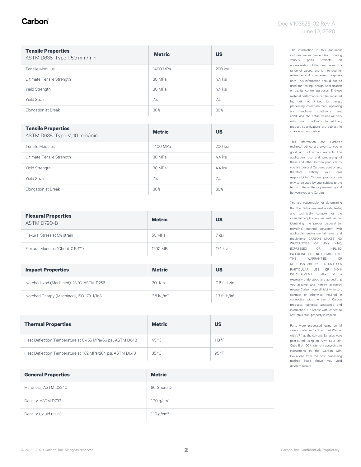#### Carbon

| <b>Tensile Properties</b><br>ASTM D638, Type I, 50 mm/min | <b>Metric</b> | <b>US</b> |
|-----------------------------------------------------------|---------------|-----------|
| Tensile Modulus                                           | 1400 MPa      | 200 ksi   |
| Ultimate Tensile Strength                                 | 30 MPa        | $4.4$ ksi |
| Yield Strength                                            | 30 MPa        | $4.4$ ksi |
| <b>Yield Strain</b>                                       | 7%            | 7%        |
| Elongation at Break                                       | 30%           | 30%       |

| <b>Tensile Properties</b><br>ASTM D638, Type V, 10 mm/min | <b>Metric</b> | <b>US</b> |
|-----------------------------------------------------------|---------------|-----------|
| Tensile Modulus                                           | 1400 MPa      | 200 ksi   |
| Ultimate Tensile Strength                                 | 30 MPa        | $4.4$ ksi |
| <b>Yield Strength</b>                                     | 30 MPa        | $4.4$ ksi |
| <b>Yield Strain</b>                                       | 7%            | 7%        |
| Elongation at Break                                       | 30%           | 30%       |

| <b>Flexural Properties</b><br>ASTM D790-B | <b>Metric</b> | <b>US</b> |
|-------------------------------------------|---------------|-----------|
| Flexural Stress at 5% strain              | 50 MPa        | 7 ksi     |
| Flexural Modulus (Chord, 0.5-1%)          | 1200 MPa      | 174 ksi   |

| <b>Impact Properties</b>                  | <b>Metric</b>        | <b>US</b>                   |
|-------------------------------------------|----------------------|-----------------------------|
| Notched Izod (Machined), 23 °C, ASTM D256 | $30$ J/m             | $0.6$ ft- $lb/in$           |
| Notched Charpy (Machined), ISO 179-1/1eA  | $2.8 \text{ kJ/m}^2$ | $1.3$ ft-lb/in <sup>2</sup> |

| <b>Thermal Properties</b>                                  | <b>Metric</b>  | US     |
|------------------------------------------------------------|----------------|--------|
| Heat Deflection Temperature at 0.455 MPa/66 psi, ASTM D648 | $45^{\circ}$ C | 113 °F |
| Heat Deflection Temperature at 1.82 MPa/264 psi, ASTM D648 | 35 °C          | 95 °F  |

| <b>General Properties</b> | <b>Metric</b> |
|---------------------------|---------------|
| Hardness, ASTM D2240      | 86, Shore D   |
| Density, ASTM D792        | 1.20 $g/cm^3$ |
| Density (liquid resin)    | 1.10 $g/cm^3$ |

The information in this document includes values derived from printing various parts, reflects an approximation of the mean value of a range of values, and is intended for reference and comparison purposes only. This information should not be used for testing, design specification or quality control purposes. End-use material performance can be impacted by, but not limited to, design, processing, color treatment, operating and end-use conditions, test conditions, etc. Actual values will vary with build conditions. In addition, product specifications are subject to change without notice.

This information and Carbon's technical advice are given to you in good faith but without warranty. The application, use and processing of these and other Carbon products by you are beyond Carbon's control and, therefore, entirely your own responsibility. Carbon products are only to be used by you, subject to the terms of the written agreement by and between you and Carbon.

You are responsible for determining that the Carbon material is safe, lawful, and technically suitable for the intended application, as well as for identifying the proper disposal (or recycling) method consistent with applicable environmental laws and regulations. CARBON MAKES NO WARRANTIES OF ANY KIND, EXPRESSED OR IMPLIED, INCLUDING, BUT NOT LIMITED TO, THE WARRANTIES OF MERCHANTABILITY, FITNESS FOR A PARTICULAR USE, OR NON-INFRINGEMENT. Further, it is expressly understood and agreed that you assume and hereby expressly release Carbon from all liability, in tort, contract or otherwise, incurred in connection with the use of Carbon products, technical assistance and information. No license with respect to any intellectual property is implied.

Parts were processed using an M series printer and a Smart Part Washer with VF 1 as the solvent. Samples were post-cured using an APM LED UV-Cube II at 100% intensity according to instructions in the Carbon MPI. Deviations from the post processing method listed above may yield different results.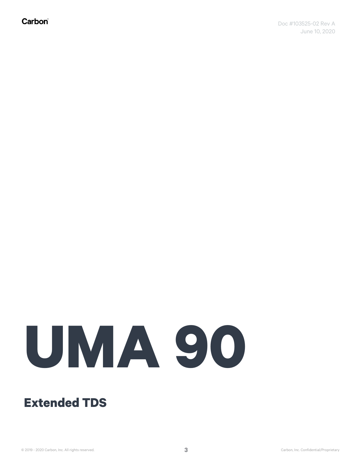Carbon®

# **UMA 90**

### **Extended TDS**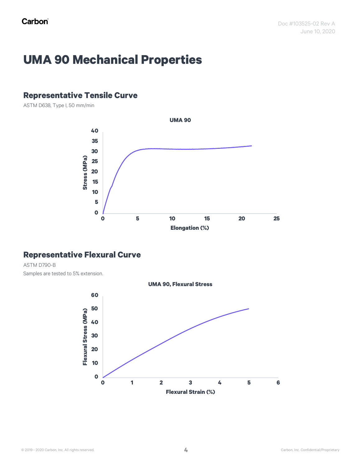## **UMA 90 Mechanical Properties**

#### **Representative Tensile Curve**

ASTM D638, Type I, 50 mm/min



#### **Representative Flexural Curve**

ASTM D790-B Samples are tested to 5% extension.

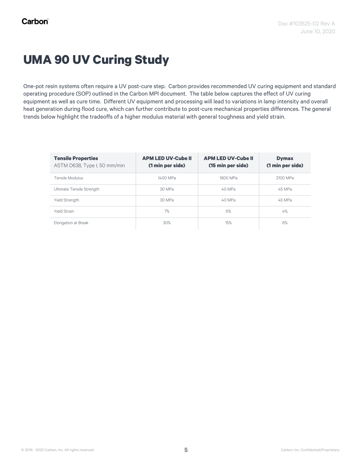## **UMA 90 UV Curing Study**

One-pot resin systems often require a UV post-cure step. Carbon provides recommended UV curing equipment and standard operating procedure (SOP) outlined in the Carbon MPI document. The table below captures the effect of UV curing equipment as well as cure time. Different UV equipment and processing will lead to variations in lamp intensity and overall heat generation during flood cure, which can further contribute to post-cure mechanical properties differences. The general trends below highlight the tradeoffs of a higher modulus material with general toughness and yield strain.

| <b>Tensile Properties</b><br>ASTM D638, Type I, 50 mm/min | <b>APM LED UV-Cube II</b><br>(1 min per side) | <b>APM LED UV-Cube II</b><br>(15 min per side) | <b>Dymax</b><br>(1 min per side) |
|-----------------------------------------------------------|-----------------------------------------------|------------------------------------------------|----------------------------------|
| Tensile Modulus                                           | 1400 MPa                                      | 1800 MPa                                       | 2100 MPa                         |
| Ultimate Tensile Strength                                 | 30 MPa                                        | 40 MPa                                         | 45 MPa                           |
| Yield Strength                                            | 30 MPa                                        | 40 MPa                                         | 45 MPa                           |
| <b>Yield Strain</b>                                       | 7%                                            | 6%                                             | 4%                               |
| Elongation at Break                                       | 30%                                           | 15%                                            | 6%                               |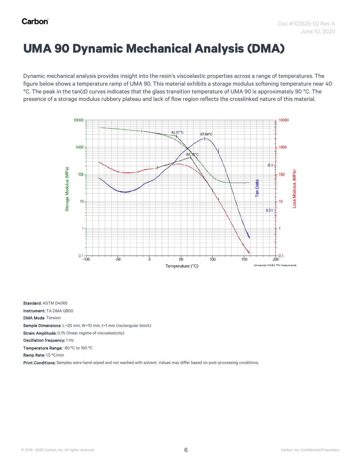## **UMA 90 Dynamic Mechanical Analysis (DMA)**

Dynamic mechanical analysis provides insight into the resin's viscoelastic properties across a range of temperatures. The figure below shows a temperature ramp of UMA 90. This material exhibits a storage modulus softening temperature near 40 °C. The peak in the tan(d) curves indicates that the glass transition temperature of UMA 90 is approximately 90 °C. The presence of a storage modulus rubbery plateau and lack of flow region reflects the crosslinked nature of this material.



Standard: ASTM D4065

Instrument: TA DMA Q800

DMA Mode: Tension

Sample Dimensions: L=20 mm, W=10 mm, t=1 mm (rectangular block)

Strain Amplitude: 0.1% (linear regime of viscoelasticity)

Oscillation frequency: 1 Hz

Temperature Range: -80 ºC to 160 ºC

Ramp Rate: 1.5 ºC/min

Print Conditions: Samples were hand-wiped and not washed with solvent. Values may differ based on post-processing conditions.